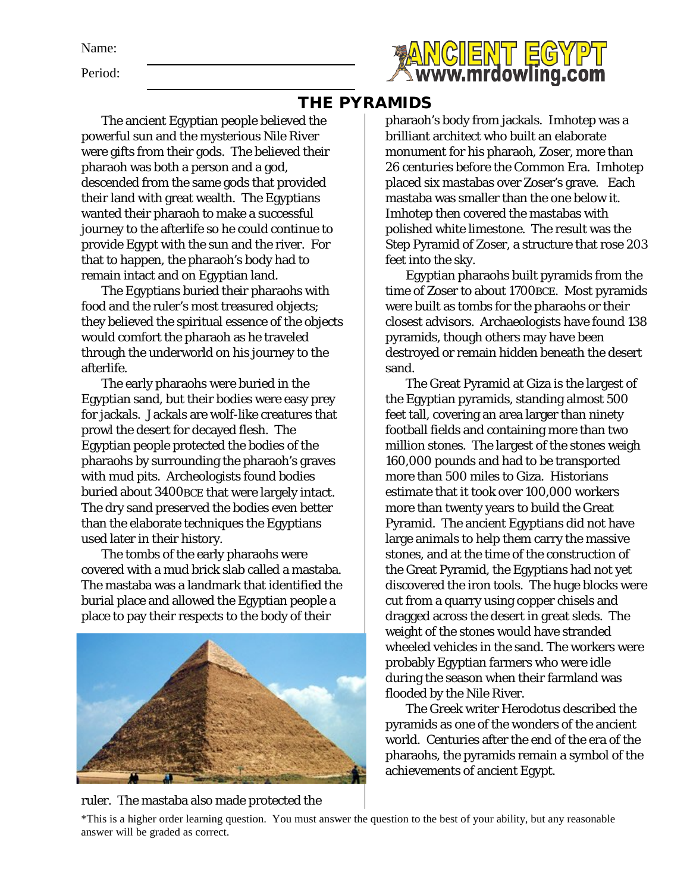Name:

Period:



## THE PYRAMIDS

The ancient Egyptian people believed the powerful sun and the mysterious Nile River were gifts from their gods. The believed their pharaoh was both a person and a god, descended from the same gods that provided their land with great wealth. The Egyptians wanted their pharaoh to make a successful journey to the afterlife so he could continue to provide Egypt with the sun and the river. For that to happen, the pharaoh's body had to remain intact and on Egyptian land.

The Egyptians buried their pharaohs with food and the ruler's most treasured objects; they believed the spiritual essence of the objects would comfort the pharaoh as he traveled through the underworld on his journey to the afterlife.

The early pharaohs were buried in the Egyptian sand, but their bodies were easy prey for jackals. Jackals are wolf-like creatures that prowl the desert for decayed flesh. The Egyptian people protected the bodies of the pharaohs by surrounding the pharaoh's graves with mud pits. Archeologists found bodies buried about 3400BCE that were largely intact. The dry sand preserved the bodies even better than the elaborate techniques the Egyptians used later in their history.

The tombs of the early pharaohs were covered with a mud brick slab called a mastaba. The mastaba was a landmark that identified the burial place and allowed the Egyptian people a place to pay their respects to the body of their



pharaoh's body from jackals. Imhotep was a brilliant architect who built an elaborate monument for his pharaoh, Zoser, more than 26 centuries before the Common Era. Imhotep placed six mastabas over Zoser's grave. Each mastaba was smaller than the one below it. Imhotep then covered the mastabas with polished white limestone. The result was the Step Pyramid of Zoser, a structure that rose 203 feet into the sky.

Egyptian pharaohs built pyramids from the time of Zoser to about 1700BCE. Most pyramids were built as tombs for the pharaohs or their closest advisors. Archaeologists have found 138 pyramids, though others may have been destroyed or remain hidden beneath the desert sand.

The Great Pyramid at Giza is the largest of the Egyptian pyramids, standing almost 500 feet tall, covering an area larger than ninety football fields and containing more than two million stones. The largest of the stones weigh 160,000 pounds and had to be transported more than 500 miles to Giza. Historians estimate that it took over 100,000 workers more than twenty years to build the Great Pyramid. The ancient Egyptians did not have large animals to help them carry the massive stones, and at the time of the construction of the Great Pyramid, the Egyptians had not yet discovered the iron tools. The huge blocks were cut from a quarry using copper chisels and dragged across the desert in great sleds. The weight of the stones would have stranded wheeled vehicles in the sand. The workers were probably Egyptian farmers who were idle during the season when their farmland was flooded by the Nile River.

The Greek writer Herodotus described the pyramids as one of the wonders of the ancient world. Centuries after the end of the era of the pharaohs, the pyramids remain a symbol of the achievements of ancient Egypt.

ruler. The mastaba also made protected the

\*This is a higher order learning question. You must answer the question to the best of your ability, but any reasonable answer will be graded as correct.